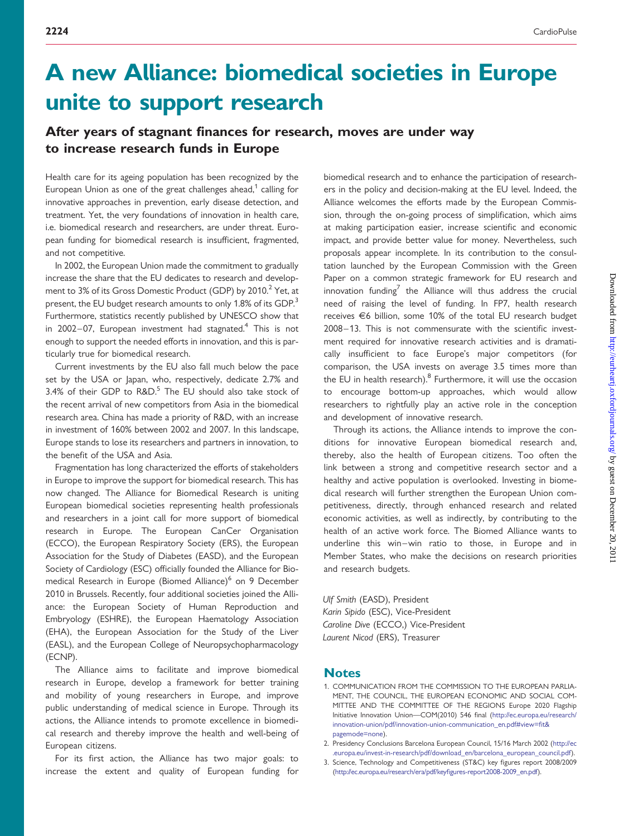## A new Alliance: biomedical societies in Europe unite to support research

## After years of stagnant finances for research, moves are under way to increase research funds in Europe

Health care for its ageing population has been recognized by the European Union as one of the great challenges ahead, $1$  calling for innovative approaches in prevention, early disease detection, and treatment. Yet, the very foundations of innovation in health care, i.e. biomedical research and researchers, are under threat. European funding for biomedical research is insufficient, fragmented, and not competitive.

In 2002, the European Union made the commitment to gradually increase the share that the EU dedicates to research and development to 3% of its Gross Domestic Product (GDP) by 2010.<sup>2</sup> Yet, at present, the EU budget research amounts to only 1.8% of its GDP.<sup>3</sup> Furthermore, statistics recently published by UNESCO show that in 2002–07, European investment had stagnated.<sup>4</sup> This is not enough to support the needed efforts in innovation, and this is particularly true for biomedical research.

Current investments by the EU also fall much below the pace set by the USA or Japan, who, respectively, dedicate 2.7% and 3.4% of their GDP to  $R&D$ <sup>5</sup> The EU should also take stock of the recent arrival of new competitors from Asia in the biomedical research area. China has made a priority of R&D, with an increase in investment of 160% between 2002 and 2007. In this landscape, Europe stands to lose its researchers and partners in innovation, to the benefit of the USA and Asia.

Fragmentation has long characterized the efforts of stakeholders in Europe to improve the support for biomedical research. This has now changed. The Alliance for Biomedical Research is uniting European biomedical societies representing health professionals and researchers in a joint call for more support of biomedical research in Europe. The European CanCer Organisation (ECCO), the European Respiratory Society (ERS), the European Association for the Study of Diabetes (EASD), and the European Society of Cardiology (ESC) officially founded the Alliance for Biomedical Research in Europe (Biomed Alliance)<sup>6</sup> on 9 December 2010 in Brussels. Recently, four additional societies joined the Alliance: the European Society of Human Reproduction and Embryology (ESHRE), the European Haematology Association (EHA), the European Association for the Study of the Liver (EASL), and the European College of Neuropsychopharmacology (ECNP).

The Alliance aims to facilitate and improve biomedical research in Europe, develop a framework for better training and mobility of young researchers in Europe, and improve public understanding of medical science in Europe. Through its actions, the Alliance intends to promote excellence in biomedical research and thereby improve the health and well-being of European citizens.

For its first action, the Alliance has two major goals: to increase the extent and quality of European funding for biomedical research and to enhance the participation of researchers in the policy and decision-making at the EU level. Indeed, the Alliance welcomes the efforts made by the European Commission, through the on-going process of simplification, which aims at making participation easier, increase scientific and economic impact, and provide better value for money. Nevertheless, such proposals appear incomplete. In its contribution to the consultation launched by the European Commission with the Green Paper on a common strategic framework for EU research and innovation funding<sup>7</sup> the Alliance will thus address the crucial need of raising the level of funding. In FP7, health research receives E6 billion, some 10% of the total EU research budget 2008–13. This is not commensurate with the scientific investment required for innovative research activities and is dramatically insufficient to face Europe's major competitors (for comparison, the USA invests on average 3.5 times more than the EU in health research). $8$  Furthermore, it will use the occasion to encourage bottom-up approaches, which would allow researchers to rightfully play an active role in the conception and development of innovative research.

Through its actions, the Alliance intends to improve the conditions for innovative European biomedical research and, thereby, also the health of European citizens. Too often the link between a strong and competitive research sector and a healthy and active population is overlooked. Investing in biomedical research will further strengthen the European Union competitiveness, directly, through enhanced research and related economic activities, as well as indirectly, by contributing to the health of an active work force. The Biomed Alliance wants to underline this win–win ratio to those, in Europe and in Member States, who make the decisions on research priorities and research budgets.

Ulf Smith (EASD), President Karin Sipido (ESC), Vice-President Caroline Dive (ECCO,) Vice-President Laurent Nicod (ERS), Treasurer

## **Notes**

- 1. COMMUNICATION FROM THE COMMISSION TO THE EUROPEAN PARLIA-MENT, THE COUNCIL, THE EUROPEAN ECONOMIC AND SOCIAL COM-MITTEE AND THE COMMITTEE OF THE REGIONS Europe 2020 Flagship Initiative Innovation Union—COM(2010) 546 final [\(http://ec.europa.eu/research/](http://ec.europa.eu/research/innovation-union/pdf/innovation-union-communication_en.pdf#view=fit&pagemode=none) [innovation-union/pdf/innovation-union-communication\\_en.pdf#view=fit&](http://ec.europa.eu/research/innovation-union/pdf/innovation-union-communication_en.pdf#view=fit&pagemode=none) [pagemode=none](http://ec.europa.eu/research/innovation-union/pdf/innovation-union-communication_en.pdf#view=fit&pagemode=none)).
- 2. Presidency Conclusions Barcelona European Council, 15/16 March 2002 ([http://ec](http://ec.europa.eu/invest-in-research/pdf/download_en/barcelona_european_council.pdf) [.europa.eu/invest-in-research/pdf/download\\_en/barcelona\\_european\\_council.pdf](http://ec.europa.eu/invest-in-research/pdf/download_en/barcelona_european_council.pdf)).
- 3. Science, Technology and Competitiveness (ST&C) key figures report 2008/2009 ([http://ec.europa.eu/research/era/pdf/keyfigures-report2008-2009\\_en.pdf](http://ec.europa.eu/research/era/pdf/keyfigures-report2008-2009_en.pdf)).